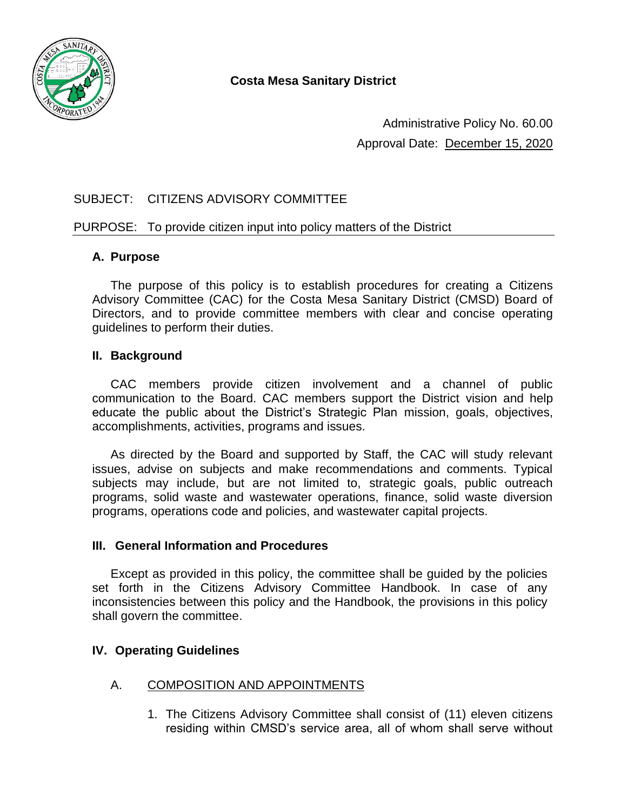

Administrative Policy No. 60.00 Approval Date: December 15, 2020

# SUBJECT: CITIZENS ADVISORY COMMITTEE

## PURPOSE: To provide citizen input into policy matters of the District

## **A. Purpose**

The purpose of this policy is to establish procedures for creating a Citizens Advisory Committee (CAC) for the Costa Mesa Sanitary District (CMSD) Board of Directors, and to provide committee members with clear and concise operating guidelines to perform their duties.

#### **II. Background**

CAC members provide citizen involvement and a channel of public communication to the Board. CAC members support the District vision and help educate the public about the District's Strategic Plan mission, goals, objectives, accomplishments, activities, programs and issues.

As directed by the Board and supported by Staff, the CAC will study relevant issues, advise on subjects and make recommendations and comments. Typical subjects may include, but are not limited to, strategic goals, public outreach programs, solid waste and wastewater operations, finance, solid waste diversion programs, operations code and policies, and wastewater capital projects.

#### **III. General Information and Procedures**

Except as provided in this policy, the committee shall be guided by the policies set forth in the Citizens Advisory Committee Handbook. In case of any inconsistencies between this policy and the Handbook, the provisions in this policy shall govern the committee.

# **IV. Operating Guidelines**

#### A. COMPOSITION AND APPOINTMENTS

1. The Citizens Advisory Committee shall consist of (11) eleven citizens residing within CMSD's service area, all of whom shall serve without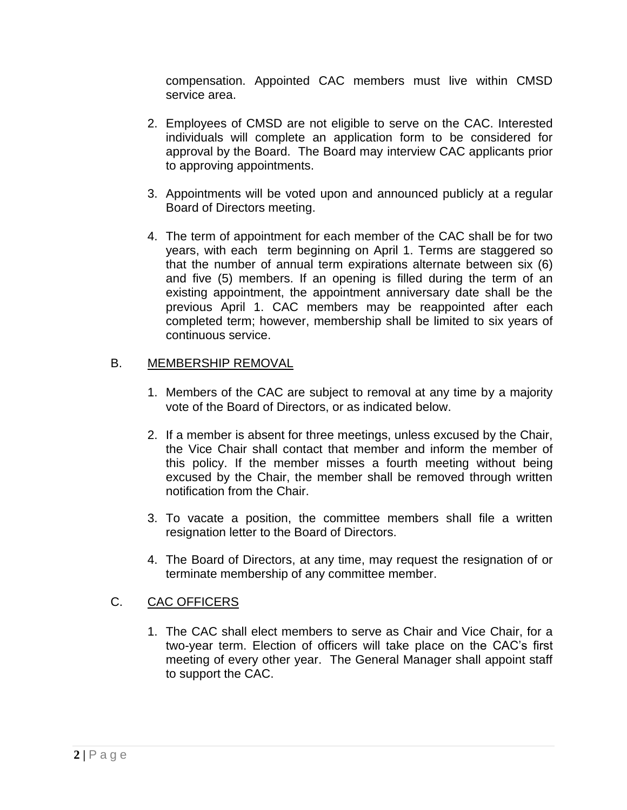compensation. Appointed CAC members must live within CMSD service area.

- 2. Employees of CMSD are not eligible to serve on the CAC. Interested individuals will complete an application form to be considered for approval by the Board. The Board may interview CAC applicants prior to approving appointments.
- 3. Appointments will be voted upon and announced publicly at a regular Board of Directors meeting.
- 4. The term of appointment for each member of the CAC shall be for two years, with each term beginning on April 1. Terms are staggered so that the number of annual term expirations alternate between six (6) and five (5) members. If an opening is filled during the term of an existing appointment, the appointment anniversary date shall be the previous April 1. CAC members may be reappointed after each completed term; however, membership shall be limited to six years of continuous service.

## B. MEMBERSHIP REMOVAL

- 1. Members of the CAC are subject to removal at any time by a majority vote of the Board of Directors, or as indicated below.
- 2. If a member is absent for three meetings, unless excused by the Chair, the Vice Chair shall contact that member and inform the member of this policy. If the member misses a fourth meeting without being excused by the Chair, the member shall be removed through written notification from the Chair.
- 3. To vacate a position, the committee members shall file a written resignation letter to the Board of Directors.
- 4. The Board of Directors, at any time, may request the resignation of or terminate membership of any committee member.

# C. CAC OFFICERS

1. The CAC shall elect members to serve as Chair and Vice Chair, for a two-year term. Election of officers will take place on the CAC's first meeting of every other year. The General Manager shall appoint staff to support the CAC.